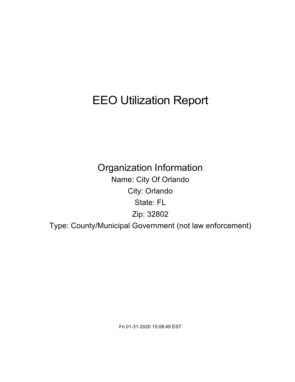# EEO Utilization Report

Organization Information Name: City Of Orlando City: Orlando State: FL Zip: 32802 Type: County/Municipal Government (not law enforcement)

Fri 01-31-2020 15:08:49 EST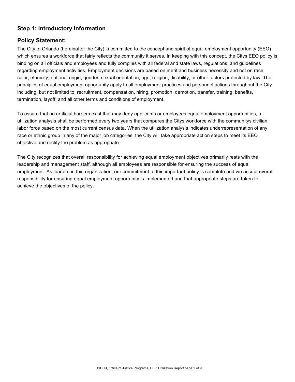## **Step 1: Introductory Information**

## **Policy Statement:**

The City of Orlando (hereinafter the City) is committed to the concept and spirit of equal employment opportunity (EEO) which ensures a workforce that fairly reflects the community it serves. In keeping with this concept, the Citys EEO policy is binding on all officials and employees and fully complies with all federal and state laws, regulations, and guidelines regarding employment activities. Employment decisions are based on merit and business necessity and not on race, color, ethnicity, national origin, gender, sexual orientation, age, religion, disability, or other factors protected by law. The principles of equal employment opportunity apply to all employment practices and personnel actions throughout the City including, but not limited to, recruitment, compensation, hiring, promotion, demotion, transfer, training, benefits, termination, layoff, and all other terms and conditions of employment.

To assure that no artificial barriers exist that may deny applicants or employees equal employment opportunities, a utilization analysis shall be performed every two years that compares the Citys workforce with the communitys civilian labor force based on the most current census data. When the utilization analysis indicates underrepresentation of any race or ethnic group in any of the major job categories, the City will take appropriate action steps to meet its EEO objective and rectify the problem as appropriate.

The City recognizes that overall responsibility for achieving equal employment objectives primarily rests with the leadership and management staff, although all employees are responsible for ensuring the success of equal employment. As leaders in this organization, our commitment to this important policy is complete and we accept overall responsibility for ensuring equal employment opportunity is implemented and that appropriate steps are taken to achieve the objectives of the policy.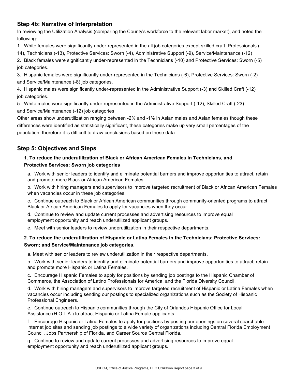## **Step 4b: Narrative of Interpretation**

In reviewing the Utilization Analysis (comparing the County's workforce to the relevant labor market), and noted the following:

1. White females were significantly under-represented in the all job categories except skilled craft. Professionals (-

14), Technicians (-13), Protective Services: Sworn (-4), Administrative Support (-9), Service/Maintenance (-12)

2. Black females were significantly under-represented in the Technicians (-10) and Protective Services: Sworn (-5) job categories.

3. Hispanic females were significantly under-represented in the Technicians (-6), Protective Services: Sworn (-2) and Service/Maintenance (-8) job categories.

4. Hispanic males were significantly under-represented in the Administrative Support (-3) and Skilled Craft (-12) job categories.

5. White males were significantly under-represented in the Administrative Support (-12), Skilled Craft (-23) and Service/Maintenance (-12) job categories

Other areas show underutilization ranging between -2% and -1% in Asian males and Asian females though these differences were identified as statistically significant, these categories make up very small percentages of the population, therefore it is difficult to draw conclusions based on these data.

# **Step 5: Objectives and Steps**

#### **1. To reduce the underutilization of Black or African American Females in Technicians, and Protective Services: Sworn job categories**

a. Work with senior leaders to identify and eliminate potential barriers and improve opportunities to attract, retain and promote more Black or African American Females.

b. Work with hiring managers and supervisors to improve targeted recruitment of Black or African American Females when vacancies occur in these job categories.

c. Continue outreach to Black or African American communities through community-oriented programs to attract Black or African American Females to apply for vacancies when they occur.

d. Continue to review and update current processes and advertising resources to improve equal employment opportunity and reach underutilized applicant groups.

e. Meet with senior leaders to review underutilization in their respective departments.

#### **2. To reduce the underutilization of Hispanic or Latina Females in the Technicians; Protective Services: Sworn; and Service/Maintenance job categories.**

a. Meet with senior leaders to review underutilization in their respective departments.

b. Work with senior leaders to identify and eliminate potential barriers and improve opportunities to attract, retain and promote more Hispanic or Latina Females.

c. Encourage Hispanic Females to apply for positions by sending job postings to the Hispanic Chamber of Commerce, the Association of Latino Professionals for America, and the Florida Diversity Council.

d. Work with hiring managers and supervisors to improve targeted recruitment of Hispanic or Latina Females when vacancies occur including sending our postings to specialized organizations such as the Society of Hispanic Professional Engineers.

e. Continue outreach to Hispanic communities through the City of Orlandos Hispanic Office for Local Assistance (H.O.L.A.) to attract Hispanic or Latina Female applicants.

f. Encourage Hispanic or Latina Females to apply for positions by posting our openings on several searchable internet job sites and sending job postings to a wide variety of organizations including Central Florida Employment Council, Jobs Partnership of Florida, and Career Source Central Florida.

g. Continue to review and update current processes and advertising resources to improve equal employment opportunity and reach underutilized applicant groups.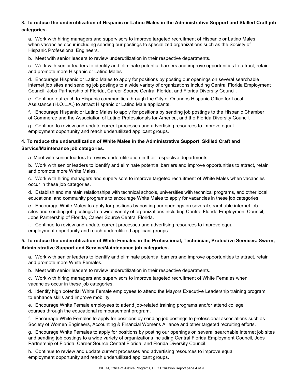#### **3. To reduce the underutilization of Hispanic or Latino Males in the Administrative Support and Skilled Craft job categories.**

a. Work with hiring managers and supervisors to improve targeted recruitment of Hispanic or Latino Males when vacancies occur including sending our postings to specialized organizations such as the Society of Hispanic Professional Engineers.

b. Meet with senior leaders to review underutilization in their respective departments.

c. Work with senior leaders to identify and eliminate potential barriers and improve opportunities to attract, retain and promote more Hispanic or Latino Males

d. Encourage Hispanic or Latino Males to apply for positions by posting our openings on several searchable internet job sites and sending job postings to a wide variety of organizations including Central Florida Employment Council, Jobs Partnership of Florida, Career Source Central Florida, and Florida Diversity Council.

e. Continue outreach to Hispanic communities through the City of Orlandos Hispanic Office for Local Assistance (H.O.L.A.) to attract Hispanic or Latino Male applicants.

f. Encourage Hispanic or Latino Males to apply for positions by sending job postings to the Hispanic Chamber of Commerce and the Association of Latino Professionals for America, and the Florida Diversity Council.

g. Continue to review and update current processes and advertising resources to improve equal employment opportunity and reach underutilized applicant groups.

#### **4. To reduce the underutilization of White Males in the Administrative Support, Skilled Craft and Service/Maintenance job categories.**

a. Meet with senior leaders to review underutilization in their respective departments.

b. Work with senior leaders to identify and eliminate potential barriers and improve opportunities to attract, retain and promote more White Males.

c. Work with hiring managers and supervisors to improve targeted recruitment of White Males when vacancies occur in these job categories.

d. Establish and maintain relationships with technical schools, universities with technical programs, and other local educational and community programs to encourage White Males to apply for vacancies in these job categories.

e. Encourage White Males to apply for positions by posting our openings on several searchable internet job sites and sending job postings to a wide variety of organizations including Central Florida Employment Council, Jobs Partnership of Florida, Career Source Central Florida.

f. Continue to review and update current processes and advertising resources to improve equal employment opportunity and reach underutilized applicant groups.

#### **5. To reduce the underutilization of White Females in the Professional, Technician, Protective Services: Sworn, Administrative Support and Service/Maintenance job categories.**

a. Work with senior leaders to identify and eliminate potential barriers and improve opportunities to attract, retain and promote more White Females.

b. Meet with senior leaders to review underutilization in their respective departments.

c. Work with hiring managers and supervisors to improve targeted recruitment of White Females when vacancies occur in these job categories.

d. Identify high potential White Female employees to attend the Mayors Executive Leadership training program to enhance skills and improve mobility.

e. Encourage White Female employees to attend job-related training programs and/or attend college courses through the educational reimbursement program.

f. Encourage White Females to apply for positions by sending job postings to professional associations such as Society of Women Engineers, Accounting & Financial Womens Alliance and other targeted recruiting efforts.

g. Encourage White Females to apply for positions by posting our openings on several searchable internet job sites and sending job postings to a wide variety of organizations including Central Florida Employment Council, Jobs Partnership of Florida, Career Source Central Florida, and Florida Diversity Council.

h. Continue to review and update current processes and advertising resources to improve equal employment opportunity and reach underutilized applicant groups.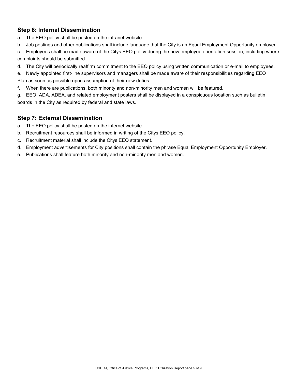# **Step 6: Internal Dissemination**

- a. The EEO policy shall be posted on the intranet website.
- b. Job postings and other publications shall include language that the City is an Equal Employment Opportunity employer.
- c. Employees shall be made aware of the Citys EEO policy during the new employee orientation session, including where complaints should be submitted.
- d. The City will periodically reaffirm commitment to the EEO policy using written communication or e-mail to employees.
- e. Newly appointed first-line supervisors and managers shall be made aware of their responsibilities regarding EEO
- Plan as soon as possible upon assumption of their new duties.
- f. When there are publications, both minority and non-minority men and women will be featured.
- g. EEO, ADA, ADEA, and related employment posters shall be displayed in a conspicuous location such as bulletin boards in the City as required by federal and state laws.

## **Step 7: External Dissemination**

- a. The EEO policy shall be posted on the internet website.
- b. Recruitment resources shall be informed in writing of the Citys EEO policy.
- c. Recruitment material shall include the Citys EEO statement.
- d. Employment advertisements for City positions shall contain the phrase Equal Employment Opportunity Employer.
- e. Publications shall feature both minority and non-minority men and women.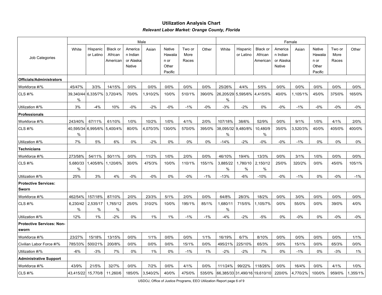## **Utilization Analysis Chart** *Relevant Labor Market: Orange County, Florida*

|                                           | Male           |                       |                                        |                                            |          |                                                      |                         |        | Female                           |                       |                                        |                                            |          |                                               |                         |         |  |
|-------------------------------------------|----------------|-----------------------|----------------------------------------|--------------------------------------------|----------|------------------------------------------------------|-------------------------|--------|----------------------------------|-----------------------|----------------------------------------|--------------------------------------------|----------|-----------------------------------------------|-------------------------|---------|--|
| Job Categories                            | White          | Hispanic<br>or Latino | <b>Black or</b><br>African<br>American | America<br>n Indian<br>or Alaska<br>Native | Asian    | <b>Native</b><br>Hawaiia<br>n or<br>Other<br>Pacific | Two or<br>More<br>Races | Other  | White                            | Hispanic<br>or Latino | <b>Black or</b><br>African<br>American | America<br>n Indian<br>or Alaska<br>Native | Asian    | Native<br>Hawaiia<br>n or<br>Other<br>Pacific | Two or<br>More<br>Races | Other   |  |
| <b>Officials/Administrators</b>           |                |                       |                                        |                                            |          |                                                      |                         |        |                                  |                       |                                        |                                            |          |                                               |                         |         |  |
| Workforce #/%                             | 45/47%         | 3/3%                  | 14/15%                                 | 0/0%                                       | 0/0%     | 0/0%                                                 | 0/0%                    | 0/0%   | 25/26%                           | 4/4%                  | 5/5%                                   | 0/0%                                       | 0/0%     | 0/0%                                          | 0/0%                    | 0/0%    |  |
| CLS #/%                                   | %              | 39,340/44 6,335/7%    | 3,720/4%                               | 70/0%                                      | 1,910/2% | 10/0%                                                | 510/1%                  | 390/0% | 26,205/29 5,595/6% 4,415/5%<br>% |                       |                                        | 40/0%                                      | 1,105/1% | 45/0%                                         | 375/0%                  | 165/0%  |  |
| Utilization #/%                           | 3%             | $-4%$                 | 10%                                    | $-0%$                                      | $-2%$    | $-0%$                                                | $-1%$                   | $-0%$  | $-3%$                            | $-2%$                 | 0%                                     | $-0%$                                      | $-1%$    | $-0%$                                         | $-0%$                   | -0%     |  |
| <b>Professionals</b>                      |                |                       |                                        |                                            |          |                                                      |                         |        |                                  |                       |                                        |                                            |          |                                               |                         |         |  |
| Workforce #/%                             | 243/40%        | 67/11%                | 61/10%                                 | 1/0%                                       | 10/2%    | 1/0%                                                 | 4/1%                    | 2/0%   | 107/18%                          | 38/6%                 | 52/9%                                  | 0/0%                                       | 9/1%     | 1/0%                                          | 4/1%                    | 2/0%    |  |
| CLS #/%                                   | 40,595/34<br>% |                       | 6,995/6% 5,400/4%                      | 80/0%                                      | 4,070/3% | 130/0%                                               | 570/0%                  | 395/0% | 38,095/32 9,480/8%<br>%          |                       | 10,480/9<br>$\%$                       | 35/0%                                      | 3,520/3% | 40/0%                                         | 405/0%                  | 400/0%  |  |
| Utilization #/%                           | 7%             | 5%                    | 6%                                     | 0%                                         | $-2%$    | 0%                                                   | 0%                      | 0%     | $-14%$                           | $-2%$                 | $-0\%$                                 | $-0\%$                                     | $-1%$    | 0%                                            | 0%                      | 0%      |  |
| Technicians                               |                |                       |                                        |                                            |          |                                                      |                         |        |                                  |                       |                                        |                                            |          |                                               |                         |         |  |
| Workforce #/%                             | 273/58%        | 54/11%                | 50/11%                                 | 0/0%                                       | 11/2%    | 1/0%                                                 | 2/0%                    | 0/0%   | 46/10%                           | 19/4%                 | 13/3%                                  | 0/0%                                       | 3/1%     | 1/0%                                          | 0/0%                    | 0/0%    |  |
| CLS #/%                                   | 5,680/33<br>%  |                       | 1,405/8% 1,120/6%                      | 30/0%                                      | 475/3%   | 10/0%                                                | 110/1%                  | 155/1% | 3,885/22<br>$\%$                 | 1,780/10<br>%         | 2,150/12<br>%                          | 25/0%                                      | 320/2%   | 0/0%                                          | 45/0%                   | 105/1%  |  |
| Utilization #/%                           | 25%            | 3%                    | 4%                                     | $-0%$                                      | $-0%$    | 0%                                                   | $-0%$                   | $-1%$  | $-13%$                           | $-6%$                 | $-10%$                                 | $-0%$                                      | $-1%$    | 0%                                            | $-0%$                   | $-1%$   |  |
| <b>Protective Services:</b><br>Sworn      |                |                       |                                        |                                            |          |                                                      |                         |        |                                  |                       |                                        |                                            |          |                                               |                         |         |  |
| Workforce #/%                             | 462/54%        | 157/18%               | 87/10%                                 | 2/0%                                       | 23/3%    | 5/1%                                                 | 2/0%                    | 0/0%   | 64/8%                            | 28/3%                 | 18/2%                                  | 0/0%                                       | 3/0%     | 0/0%                                          | 0/0%                    | $0/0\%$ |  |
| CLS #/%                                   | 6,230/42<br>%  | 2,535/17<br>%         | 1,765/12<br>%                          | 25/0%                                      | 310/2%   | 10/0%                                                | 195/1%                  | 85/1%  | 1,680/11<br>%                    | 715/5%                | 1,105/7%                               | 0/0%                                       | 55/0%    | 0/0%                                          | 39/0%                   | 4/0%    |  |
| Utilization #/%                           | 12%            | 1%                    | $-2%$                                  | $0\%$                                      | 1%       | 1%                                                   | $-1%$                   | $-1%$  | $-4%$                            | $-2%$                 | $-5%$                                  | 0%                                         | $-0\%$   | 0%                                            | $-0%$                   | -0%     |  |
| <b>Protective Services: Non-</b><br>sworn |                |                       |                                        |                                            |          |                                                      |                         |        |                                  |                       |                                        |                                            |          |                                               |                         |         |  |
| Workforce #/%                             | 23/27%         | 15/18%                | 13/15%                                 | 0/0%                                       | 1/1%     | 0/0%                                                 | 0/0%                    | 1/1%   | 16/19%                           | 6/7%                  | 8/10%                                  | 0/0%                                       | 0/0%     | 0/0%                                          | 0/0%                    | 1/1%    |  |
| Civilian Labor Force #/%                  | 785/33%        | 500/21%               | 200/8%                                 | 0/0%                                       | 0/0%     | 0/0%                                                 | 15/1%                   | 0/0%   | 495/21%                          | 225/10%               | 65/3%                                  | 0/0%                                       | 15/1%    | 0/0%                                          | 65/3%                   | 0/0%    |  |
| Utilization #/%                           | -6%            | $-3%$                 | 7%                                     | 0%                                         | 1%       | 0%                                                   | $-1%$                   | $1\%$  | $-2%$                            | $-2%$                 | 7%                                     | 0%                                         | $-1%$    | 0%                                            | $-3%$                   | $1\%$   |  |
| <b>Administrative Support</b>             |                |                       |                                        |                                            |          |                                                      |                         |        |                                  |                       |                                        |                                            |          |                                               |                         |         |  |
| Workforce #/%                             | 43/9%          | 21/5%                 | 32/7%                                  | 0/0%                                       | 7/2%     | 0/0%                                                 | 4/1%                    | 0/0%   | 111/24%                          | 99/22%                | 118/26%                                | 0/0%                                       | 16/4%    | 0/0%                                          | 4/1%                    | 1/0%    |  |
| CLS #/%                                   | 43,415/22      | 15,770/8              | 11,260/6                               | 185/0%                                     | 3,540/2% | 40/0%                                                | 475/0%                  | 535/0% |                                  |                       | 66,385/33 31,490/16 19,610/10          | 220/0%                                     | 4,770/2% | 100/0%                                        | 959/0%                  | .355/1% |  |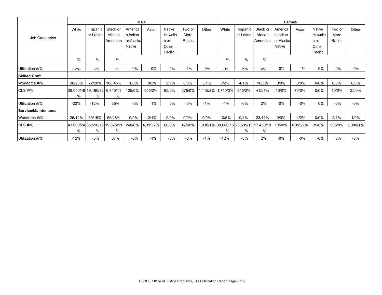|                      | Male   |                                    |                     |                     |          |                   |                |          |          | Female                  |                                            |                     |          |                   |                |         |  |  |  |
|----------------------|--------|------------------------------------|---------------------|---------------------|----------|-------------------|----------------|----------|----------|-------------------------|--------------------------------------------|---------------------|----------|-------------------|----------------|---------|--|--|--|
| Job Categories       | White  | Hispanic<br>or Latino              | Black or<br>African | America<br>n Indian | Asian    | Native<br>Hawaiia | Two or<br>More | Other    | White    | Hispanic  <br>or Latino | Black or<br>African                        | America<br>n Indian | Asian    | Native<br>Hawaiia | Two or<br>More | Other   |  |  |  |
|                      |        |                                    | American            | or Alaska           |          | n or              | Races          |          |          |                         | American                                   | or Alaska           |          | n or              | Races          |         |  |  |  |
|                      |        |                                    |                     | Native              |          | Other             |                |          |          |                         |                                            | Native              |          | Other             |                |         |  |  |  |
|                      |        |                                    |                     |                     |          | Pacific           |                |          |          |                         |                                            |                     |          | Pacific           |                |         |  |  |  |
|                      | $\%$   | %                                  | $\%$                |                     |          |                   |                |          | %        | %                       | $\frac{0}{0}$                              |                     |          |                   |                |         |  |  |  |
| Utilization #/%      | -12%   | -3%                                | 1%                  | $-0%$               | $-0%$    | $-0%$             | $1\%$          | $-0\%$   | -9%      | 6%                      | 16%                                        | $-0\%$              | 1%       | $-0%$             | 0%             | -0%     |  |  |  |
| <b>Skilled Craft</b> |        |                                    |                     |                     |          |                   |                |          |          |                         |                                            |                     |          |                   |                |         |  |  |  |
| Workforce #/%        | 90/25% | 72/20%                             | 168/46%             | 1/0%                | 8/2%     | 2/1%              | 0/0%           | 3/1%     | 6/2%     | 4/1%                    | 10/3%                                      | 0/0%                | 0/0%     | 0/0%              | 0/0%           | $0/0\%$ |  |  |  |
| CLS #/%              | $\%$   | 29,050/48 19,190/32 6,445/11<br>%  | %                   | 125/0%              | 955/2%   | 95/0%             | 275/0%         | 1,115/2% | 1,710/3% | 945/2%                  | 415/1%                                     | 10/0%               | 70/0%    | 0/0%              | 10/0%          | 25/0%   |  |  |  |
| Utilization #/%      | $-23%$ | $-12%$                             | 35%                 | 0%                  | 1%       | 0%                | $-0%$          | $-1%$    | $-1%$    | $-0%$                   | 2%                                         | $-0\%$              | $-0\%$   | $0\%$             | $-0%$          | $-0\%$  |  |  |  |
| Service/Maintenance  |        |                                    |                     |                     |          |                   |                |          |          |                         |                                            |                     |          |                   |                |         |  |  |  |
| Workforce #/%        | 25/12% | 30/15%                             | 96/48%              | 0/0%                | 2/1%     | 0/0%              | 0/0%           | 0/0%     | 10/5%    | 9/4%                    | 23/11%                                     | 0/0%                | 4/2%     | 0/0%              | 2/1%           | 1/0%    |  |  |  |
| <b>CLS #/%</b>       | $\%$   | 43,600/24 35,510/19 19,875/11<br>% | %                   | 240/0%              | 4,315/2% | 60/0%             | 475/0%         |          | %        | %                       | ,030/1% 30,080/16 23,535/13 17,450/10<br>% | 185/0%              | 4,065/2% | 35/0%             | 905/0%         | ,080/1% |  |  |  |
| Utilization #/%      | $-12%$ | -5%                                | 37%                 | $-0%$               | $-1%$    | $-0\%$            | -0%            | $-1\%$   | $-12%$   | $-8%$                   | 2%                                         | -0%                 | -0%      | $-0%$             | 0%             | $-0\%$  |  |  |  |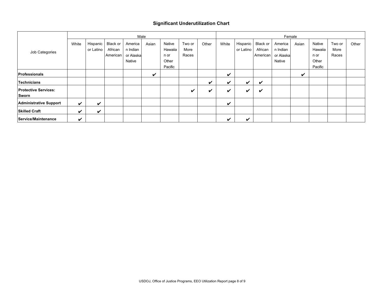#### **Significant Underutilization Chart**

|                               | Male  |           |          |           |       |         |        |                    |       |           | Female   |           |       |         |        |       |  |  |  |  |
|-------------------------------|-------|-----------|----------|-----------|-------|---------|--------|--------------------|-------|-----------|----------|-----------|-------|---------|--------|-------|--|--|--|--|
| Job Categories                | White | Hispanic  | Black or | America   | Asian | Native  | Two or | Other              | White | Hispanic  | Black or | America   | Asian | Native  | Two or | Other |  |  |  |  |
|                               |       | or Latino | African  | n Indian  |       | Hawaiia | More   |                    |       | or Latino | African  | n Indian  |       | Hawaiia | More   |       |  |  |  |  |
|                               |       |           | American | or Alaska |       | n or    | Races  |                    |       |           | American | or Alaska |       | n or    | Races  |       |  |  |  |  |
|                               |       |           |          | Native    |       | Other   |        |                    |       |           |          | Native    |       | Other   |        |       |  |  |  |  |
|                               |       |           |          |           |       | Pacific |        |                    |       |           |          |           |       | Pacific |        |       |  |  |  |  |
| <b>Professionals</b>          |       |           |          |           | ✔     |         |        |                    | ✓     |           |          |           | ັ     |         |        |       |  |  |  |  |
| Technicians                   |       |           |          |           |       |         |        | ✔                  | ✓     | ✔         | ✔        |           |       |         |        |       |  |  |  |  |
| <b>Protective Services:</b>   |       |           |          |           |       |         | ✔      | $\boldsymbol{\nu}$ | ✔     | ✓         | ✔        |           |       |         |        |       |  |  |  |  |
| Sworn                         |       |           |          |           |       |         |        |                    |       |           |          |           |       |         |        |       |  |  |  |  |
| <b>Administrative Support</b> | ✔     | ✔         |          |           |       |         |        |                    | ✔     |           |          |           |       |         |        |       |  |  |  |  |
| <b>Skilled Craft</b>          | ັ     | ✔         |          |           |       |         |        |                    |       |           |          |           |       |         |        |       |  |  |  |  |
| Service/Maintenance           | ✔     |           |          |           |       |         |        |                    | ✓     | ✔         |          |           |       |         |        |       |  |  |  |  |